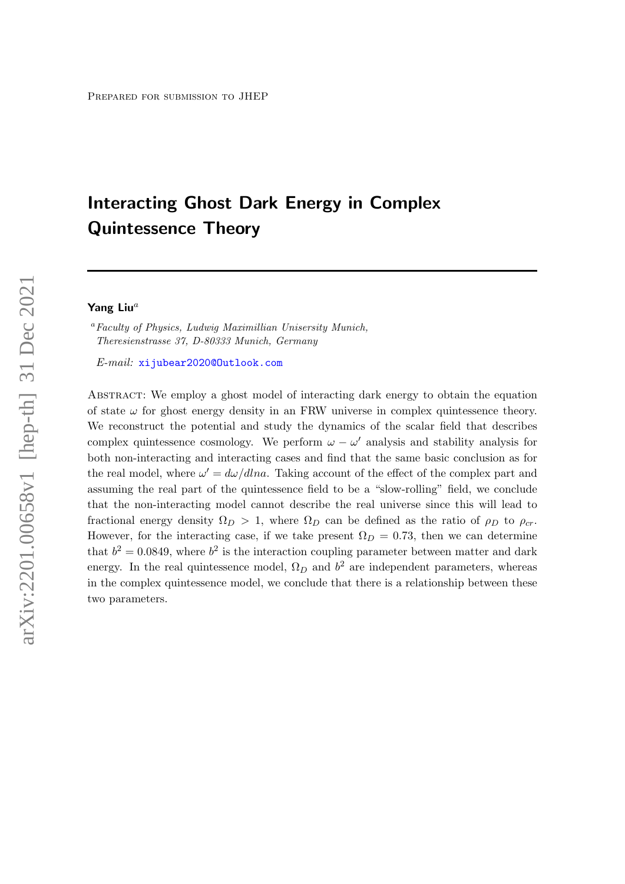# Interacting Ghost Dark Energy in Complex Quintessence Theory

## Yang Liu $^a$

<sup>a</sup>Faculty of Physics, Ludwig Maximillian Unisersity Munich, Theresienstrasse 37, D-80333 Munich, Germany

E-mail: [xijubear2020@Outlook.com](mailto:xijubear2020@Outlook.com)

Abstract: We employ a ghost model of interacting dark energy to obtain the equation of state  $\omega$  for ghost energy density in an FRW universe in complex quintessence theory. We reconstruct the potential and study the dynamics of the scalar field that describes complex quintessence cosmology. We perform  $\omega - \omega'$  analysis and stability analysis for both non-interacting and interacting cases and find that the same basic conclusion as for the real model, where  $\omega' = d\omega/dlna$ . Taking account of the effect of the complex part and assuming the real part of the quintessence field to be a "slow-rolling" field, we conclude that the non-interacting model cannot describe the real universe since this will lead to fractional energy density  $\Omega_D > 1$ , where  $\Omega_D$  can be defined as the ratio of  $\rho_D$  to  $\rho_{cr}$ . However, for the interacting case, if we take present  $\Omega_D = 0.73$ , then we can determine that  $b^2 = 0.0849$ , where  $b^2$  is the interaction coupling parameter between matter and dark energy. In the real quintessence model,  $\Omega_D$  and  $b^2$  are independent parameters, whereas in the complex quintessence model, we conclude that there is a relationship between these two parameters.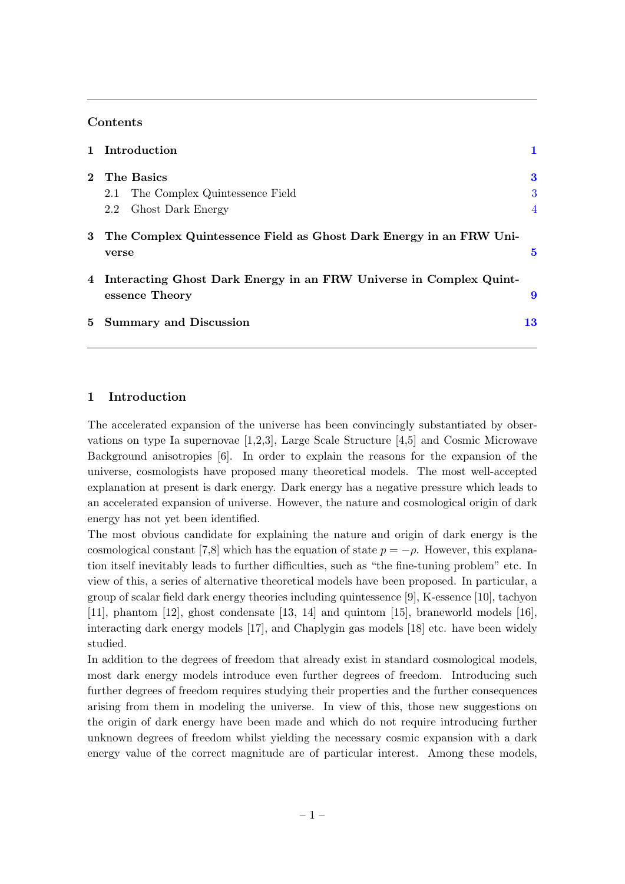#### Contents

|                | 1 Introduction                                                                         |                |
|----------------|----------------------------------------------------------------------------------------|----------------|
|                | 2 The Basics                                                                           | 3              |
|                | The Complex Quintessence Field<br>2.1                                                  | 3              |
|                | Ghost Dark Energy<br>2.2                                                               | $\overline{4}$ |
|                | 3 The Complex Quintessence Field as Ghost Dark Energy in an FRW Uni-<br>verse          | 5              |
|                |                                                                                        |                |
|                | 4 Interacting Ghost Dark Energy in an FRW Universe in Complex Quint-<br>essence Theory | 9              |
| 5 <sub>1</sub> | <b>Summary and Discussion</b>                                                          | 13             |

#### <span id="page-1-0"></span>1 Introduction

The accelerated expansion of the universe has been convincingly substantiated by observations on type Ia supernovae [1,2,3], Large Scale Structure [4,5] and Cosmic Microwave Background anisotropies [6]. In order to explain the reasons for the expansion of the universe, cosmologists have proposed many theoretical models. The most well-accepted explanation at present is dark energy. Dark energy has a negative pressure which leads to an accelerated expansion of universe. However, the nature and cosmological origin of dark energy has not yet been identified.

The most obvious candidate for explaining the nature and origin of dark energy is the cosmological constant [7,8] which has the equation of state  $p = -\rho$ . However, this explanation itself inevitably leads to further difficulties, such as "the fine-tuning problem" etc. In view of this, a series of alternative theoretical models have been proposed. In particular, a group of scalar field dark energy theories including quintessence [9], K-essence [10], tachyon [11], phantom [12], ghost condensate [13, 14] and quintom [15], braneworld models [16], interacting dark energy models [17], and Chaplygin gas models [18] etc. have been widely studied.

In addition to the degrees of freedom that already exist in standard cosmological models, most dark energy models introduce even further degrees of freedom. Introducing such further degrees of freedom requires studying their properties and the further consequences arising from them in modeling the universe. In view of this, those new suggestions on the origin of dark energy have been made and which do not require introducing further unknown degrees of freedom whilst yielding the necessary cosmic expansion with a dark energy value of the correct magnitude are of particular interest. Among these models,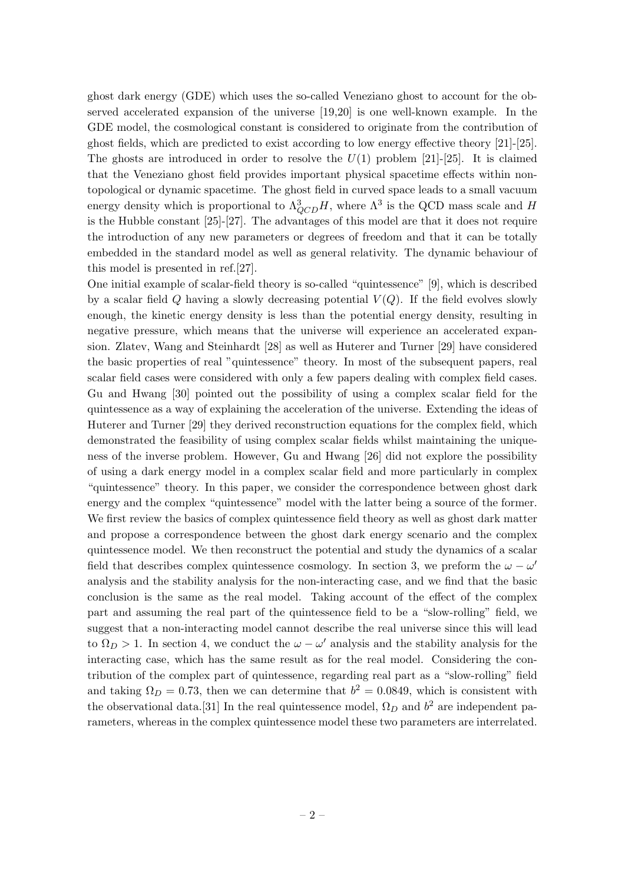ghost dark energy (GDE) which uses the so-called Veneziano ghost to account for the observed accelerated expansion of the universe [19,20] is one well-known example. In the GDE model, the cosmological constant is considered to originate from the contribution of ghost fields, which are predicted to exist according to low energy effective theory [21]-[25]. The ghosts are introduced in order to resolve the  $U(1)$  problem [21]-[25]. It is claimed that the Veneziano ghost field provides important physical spacetime effects within nontopological or dynamic spacetime. The ghost field in curved space leads to a small vacuum energy density which is proportional to  $\Lambda^3_{QCD}H$ , where  $\Lambda^3$  is the QCD mass scale and H is the Hubble constant [25]-[27]. The advantages of this model are that it does not require the introduction of any new parameters or degrees of freedom and that it can be totally embedded in the standard model as well as general relativity. The dynamic behaviour of this model is presented in ref.[27].

One initial example of scalar-field theory is so-called "quintessence" [9], which is described by a scalar field Q having a slowly decreasing potential  $V(Q)$ . If the field evolves slowly enough, the kinetic energy density is less than the potential energy density, resulting in negative pressure, which means that the universe will experience an accelerated expansion. Zlatev, Wang and Steinhardt [28] as well as Huterer and Turner [29] have considered the basic properties of real "quintessence" theory. In most of the subsequent papers, real scalar field cases were considered with only a few papers dealing with complex field cases. Gu and Hwang [30] pointed out the possibility of using a complex scalar field for the quintessence as a way of explaining the acceleration of the universe. Extending the ideas of Huterer and Turner [29] they derived reconstruction equations for the complex field, which demonstrated the feasibility of using complex scalar fields whilst maintaining the uniqueness of the inverse problem. However, Gu and Hwang [26] did not explore the possibility of using a dark energy model in a complex scalar field and more particularly in complex "quintessence" theory. In this paper, we consider the correspondence between ghost dark energy and the complex "quintessence" model with the latter being a source of the former. We first review the basics of complex quintessence field theory as well as ghost dark matter and propose a correspondence between the ghost dark energy scenario and the complex quintessence model. We then reconstruct the potential and study the dynamics of a scalar field that describes complex quintessence cosmology. In section 3, we preform the  $\omega - \omega'$ analysis and the stability analysis for the non-interacting case, and we find that the basic conclusion is the same as the real model. Taking account of the effect of the complex part and assuming the real part of the quintessence field to be a "slow-rolling" field, we suggest that a non-interacting model cannot describe the real universe since this will lead to  $\Omega_D > 1$ . In section 4, we conduct the  $\omega - \omega'$  analysis and the stability analysis for the interacting case, which has the same result as for the real model. Considering the contribution of the complex part of quintessence, regarding real part as a "slow-rolling" field and taking  $\Omega_D = 0.73$ , then we can determine that  $b^2 = 0.0849$ , which is consistent with the observational data.[31] In the real quintessence model,  $\Omega_D$  and  $b^2$  are independent parameters, whereas in the complex quintessence model these two parameters are interrelated.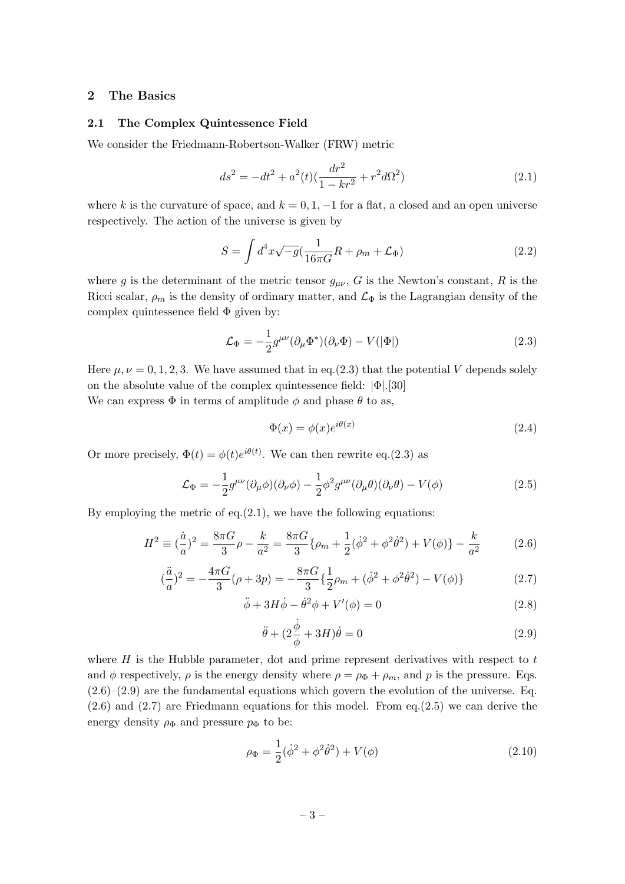## <span id="page-3-0"></span>2 The Basics

#### <span id="page-3-1"></span>2.1 The Complex Quintessence Field

We consider the Friedmann-Robertson-Walker (FRW) metric

$$
ds^{2} = -dt^{2} + a^{2}(t)\left(\frac{dr^{2}}{1 - kr^{2}} + r^{2}d\Omega^{2}\right)
$$
\n(2.1)

where k is the curvature of space, and  $k = 0, 1, -1$  for a flat, a closed and an open universe respectively. The action of the universe is given by

$$
S = \int d^4x \sqrt{-g} \left(\frac{1}{16\pi G}R + \rho_m + \mathcal{L}_{\Phi}\right)
$$
 (2.2)

where g is the determinant of the metric tensor  $g_{\mu\nu}$ , G is the Newton's constant, R is the Ricci scalar,  $\rho_m$  is the density of ordinary matter, and  $\mathcal{L}_{\Phi}$  is the Lagrangian density of the complex quintessence field  $\Phi$  given by:

$$
\mathcal{L}_{\Phi} = -\frac{1}{2}g^{\mu\nu}(\partial_{\mu}\Phi^*)(\partial_{\nu}\Phi) - V(|\Phi|)
$$
\n(2.3)

Here  $\mu, \nu = 0, 1, 2, 3$ . We have assumed that in eq.(2.3) that the potential V depends solely on the absolute value of the complex quintessence field:  $|\Phi|$ .[30]

We can express  $\Phi$  in terms of amplitude  $\phi$  and phase  $\theta$  to as,

$$
\Phi(x) = \phi(x)e^{i\theta(x)}\tag{2.4}
$$

Or more precisely,  $\Phi(t) = \phi(t)e^{i\theta(t)}$ . We can then rewrite eq.(2.3) as

$$
\mathcal{L}_{\Phi} = -\frac{1}{2}g^{\mu\nu}(\partial_{\mu}\phi)(\partial_{\nu}\phi) - \frac{1}{2}\phi^{2}g^{\mu\nu}(\partial_{\mu}\theta)(\partial_{\nu}\theta) - V(\phi)
$$
\n(2.5)

By employing the metric of eq. $(2.1)$ , we have the following equations:

$$
H^{2} \equiv \left(\frac{\dot{a}}{a}\right)^{2} = \frac{8\pi G}{3}\rho - \frac{k}{a^{2}} = \frac{8\pi G}{3}\{\rho_{m} + \frac{1}{2}(\dot{\phi}^{2} + \phi^{2}\dot{\theta}^{2}) + V(\phi)\} - \frac{k}{a^{2}}\tag{2.6}
$$

$$
(\frac{\ddot{a}}{a})^2 = -\frac{4\pi G}{3}(\rho + 3p) = -\frac{8\pi G}{3}\left\{\frac{1}{2}\rho_m + (\dot{\phi}^2 + \phi^2\dot{\theta}^2) - V(\phi)\right\}
$$
(2.7)

$$
\ddot{\phi} + 3H\dot{\phi} - \dot{\theta}^2\phi + V'(\phi) = 0
$$
\n(2.8)

$$
\ddot{\theta} + (2\frac{\dot{\phi}}{\phi} + 3H)\dot{\theta} = 0
$$
\n(2.9)

where  $H$  is the Hubble parameter, dot and prime represent derivatives with respect to  $t$ and  $\phi$  respectively,  $\rho$  is the energy density where  $\rho = \rho_{\Phi} + \rho_m$ , and p is the pressure. Eqs.  $(2.6)$ – $(2.9)$  are the fundamental equations which govern the evolution of the universe. Eq. (2.6) and (2.7) are Friedmann equations for this model. From eq.(2.5) we can derive the energy density  $\rho_{\Phi}$  and pressure  $p_{\Phi}$  to be:

$$
\rho_{\Phi} = \frac{1}{2}(\dot{\phi}^2 + \phi^2 \dot{\theta}^2) + V(\phi)
$$
\n(2.10)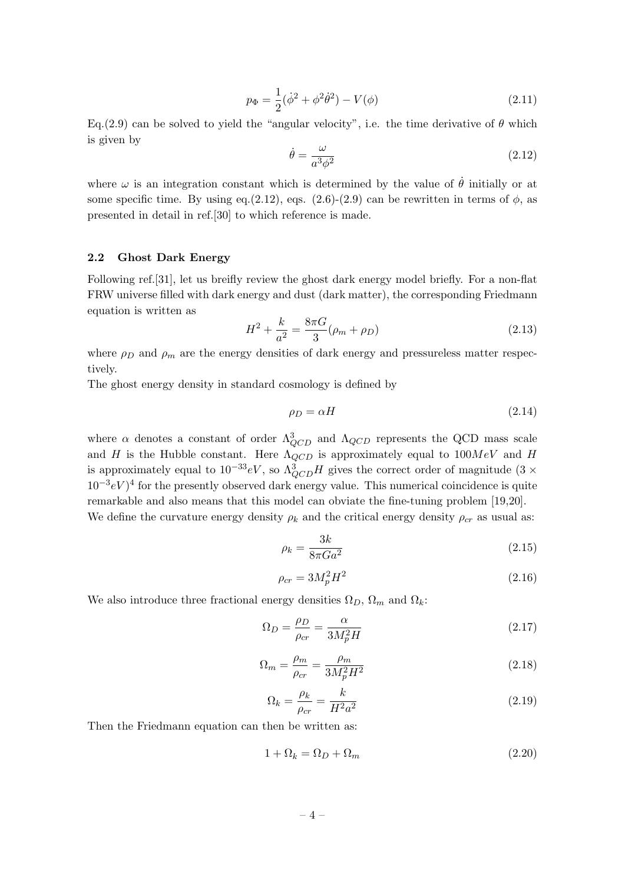$$
p_{\Phi} = \frac{1}{2}(\dot{\phi}^2 + \phi^2 \dot{\theta}^2) - V(\phi)
$$
 (2.11)

Eq.(2.9) can be solved to yield the "angular velocity", i.e. the time derivative of  $\theta$  which is given by

$$
\dot{\theta} = \frac{\omega}{a^3 \phi^2} \tag{2.12}
$$

where  $\omega$  is an integration constant which is determined by the value of  $\dot{\theta}$  initially or at some specific time. By using eq.(2.12), eqs. (2.6)-(2.9) can be rewritten in terms of  $\phi$ , as presented in detail in ref.[30] to which reference is made.

#### <span id="page-4-0"></span>2.2 Ghost Dark Energy

Following ref.[31], let us breifly review the ghost dark energy model briefly. For a non-flat FRW universe filled with dark energy and dust (dark matter), the corresponding Friedmann equation is written as

$$
H^{2} + \frac{k}{a^{2}} = \frac{8\pi G}{3}(\rho_{m} + \rho_{D})
$$
\n(2.13)

where  $\rho_D$  and  $\rho_m$  are the energy densities of dark energy and pressureless matter respectively.

The ghost energy density in standard cosmology is defined by

$$
\rho_D = \alpha H \tag{2.14}
$$

where  $\alpha$  denotes a constant of order  $\Lambda_{QCD}^3$  and  $\Lambda_{QCD}$  represents the QCD mass scale and H is the Hubble constant. Here  $\Lambda_{QCD}$  is approximately equal to  $100MeV$  and H is approximately equal to  $10^{-33}$ eV, so  $\Lambda^3_{QCD}H$  gives the correct order of magnitude (3 ×  $10^{-3}eV$ <sup>4</sup> for the presently observed dark energy value. This numerical coincidence is quite remarkable and also means that this model can obviate the fine-tuning problem [19,20]. We define the curvature energy density  $\rho_k$  and the critical energy density  $\rho_{cr}$  as usual as:

$$
\rho_k = \frac{3k}{8\pi G a^2} \tag{2.15}
$$

$$
\rho_{cr} = 3M_p^2 H^2 \tag{2.16}
$$

We also introduce three fractional energy densities  $\Omega_D$ ,  $\Omega_m$  and  $\Omega_k$ :

$$
\Omega_D = \frac{\rho_D}{\rho_{cr}} = \frac{\alpha}{3M_p^2 H} \tag{2.17}
$$

$$
\Omega_m = \frac{\rho_m}{\rho_{cr}} = \frac{\rho_m}{3M_p^2 H^2} \tag{2.18}
$$

$$
\Omega_k = \frac{\rho_k}{\rho_{cr}} = \frac{k}{H^2 a^2} \tag{2.19}
$$

Then the Friedmann equation can then be written as:

$$
1 + \Omega_k = \Omega_D + \Omega_m \tag{2.20}
$$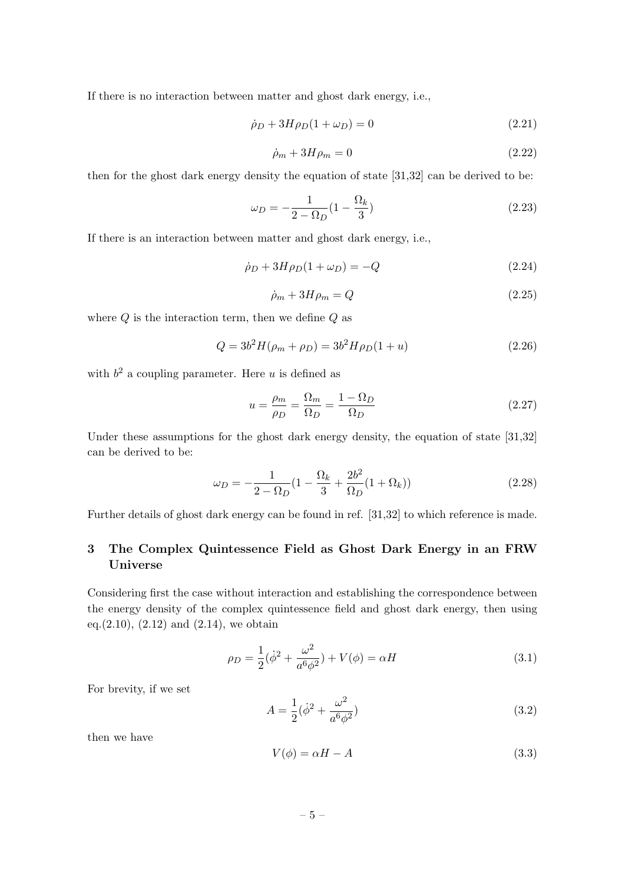If there is no interaction between matter and ghost dark energy, i.e.,

$$
\dot{\rho}_D + 3H\rho_D(1 + \omega_D) = 0 \tag{2.21}
$$

$$
\dot{\rho}_m + 3H\rho_m = 0\tag{2.22}
$$

then for the ghost dark energy density the equation of state [31,32] can be derived to be:

$$
\omega_D = -\frac{1}{2 - \Omega_D} (1 - \frac{\Omega_k}{3})
$$
\n(2.23)

If there is an interaction between matter and ghost dark energy, i.e.,

$$
\dot{\rho}_D + 3H\rho_D(1+\omega_D) = -Q\tag{2.24}
$$

$$
\dot{\rho}_m + 3H\rho_m = Q \tag{2.25}
$$

where  $Q$  is the interaction term, then we define  $Q$  as

$$
Q = 3b^2 H(\rho_m + \rho_D) = 3b^2 H \rho_D (1 + u)
$$
\n(2.26)

with  $b^2$  a coupling parameter. Here u is defined as

$$
u = \frac{\rho_m}{\rho_D} = \frac{\Omega_m}{\Omega_D} = \frac{1 - \Omega_D}{\Omega_D} \tag{2.27}
$$

Under these assumptions for the ghost dark energy density, the equation of state [31,32] can be derived to be:

$$
\omega_D = -\frac{1}{2 - \Omega_D} \left( 1 - \frac{\Omega_k}{3} + \frac{2b^2}{\Omega_D} (1 + \Omega_k) \right) \tag{2.28}
$$

Further details of ghost dark energy can be found in ref. [31,32] to which reference is made.

# <span id="page-5-0"></span>3 The Complex Quintessence Field as Ghost Dark Energy in an FRW Universe

Considering first the case without interaction and establishing the correspondence between the energy density of the complex quintessence field and ghost dark energy, then using eq.(2.10), (2.12) and (2.14), we obtain

$$
\rho_D = \frac{1}{2}(\dot{\phi}^2 + \frac{\omega^2}{a^6 \phi^2}) + V(\phi) = \alpha H \tag{3.1}
$$

For brevity, if we set

$$
A = \frac{1}{2}(\dot{\phi}^2 + \frac{\omega^2}{a^6 \phi^2})
$$
\n(3.2)

then we have

$$
V(\phi) = \alpha H - A \tag{3.3}
$$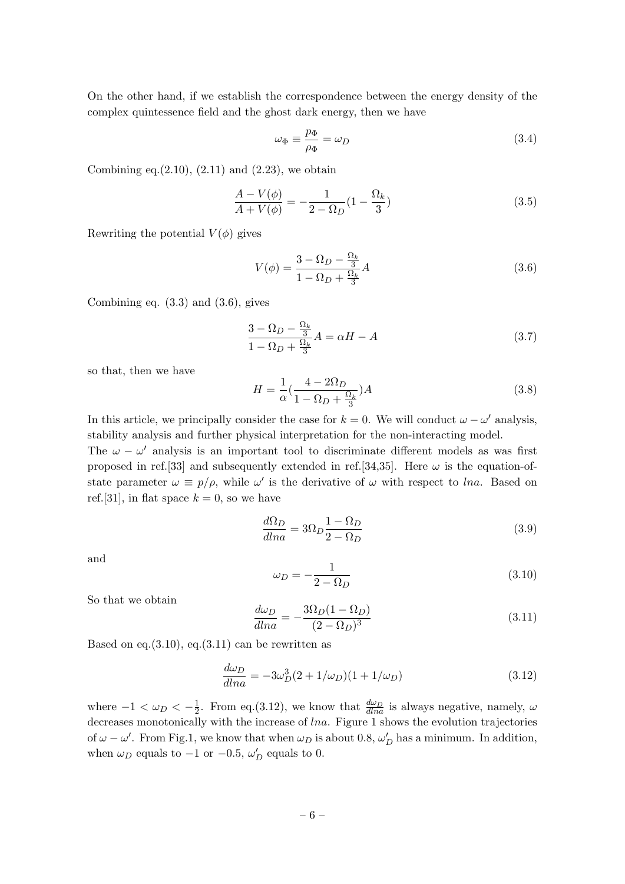On the other hand, if we establish the correspondence between the energy density of the complex quintessence field and the ghost dark energy, then we have

$$
\omega_{\Phi} \equiv \frac{p_{\Phi}}{\rho_{\Phi}} = \omega_D \tag{3.4}
$$

Combining eq. $(2.10)$ ,  $(2.11)$  and  $(2.23)$ , we obtain

$$
\frac{A - V(\phi)}{A + V(\phi)} = -\frac{1}{2 - \Omega_D}(1 - \frac{\Omega_k}{3})
$$
\n(3.5)

Rewriting the potential  $V(\phi)$  gives

$$
V(\phi) = \frac{3 - \Omega_D - \frac{\Omega_k}{3}}{1 - \Omega_D + \frac{\Omega_k}{3}} A
$$
\n(3.6)

Combining eq.  $(3.3)$  and  $(3.6)$ , gives

$$
\frac{3 - \Omega_D - \frac{\Omega_k}{3}}{1 - \Omega_D + \frac{\Omega_k}{3}} A = \alpha H - A
$$
\n(3.7)

so that, then we have

$$
H = \frac{1}{\alpha} \left( \frac{4 - 2\Omega_D}{1 - \Omega_D + \frac{\Omega_k}{3}} \right) A \tag{3.8}
$$

In this article, we principally consider the case for  $k = 0$ . We will conduct  $\omega - \omega'$  analysis, stability analysis and further physical interpretation for the non-interacting model.

The  $\omega - \omega'$  analysis is an important tool to discriminate different models as was first proposed in ref.[33] and subsequently extended in ref.[34,35]. Here  $\omega$  is the equation-ofstate parameter  $\omega \equiv p/\rho$ , while  $\omega'$  is the derivative of  $\omega$  with respect to lna. Based on ref.[31], in flat space  $k = 0$ , so we have

$$
\frac{d\Omega_D}{dlna} = 3\Omega_D \frac{1 - \Omega_D}{2 - \Omega_D} \tag{3.9}
$$

and

$$
\omega_D = -\frac{1}{2 - \Omega_D} \tag{3.10}
$$

So that we obtain

$$
\frac{d\omega_D}{dlna} = -\frac{3\Omega_D(1 - \Omega_D)}{(2 - \Omega_D)^3} \tag{3.11}
$$

Based on eq.  $(3.10)$ , eq.  $(3.11)$  can be rewritten as

$$
\frac{d\omega_D}{dlna} = -3\omega_D^3(2+1/\omega_D)(1+1/\omega_D) \tag{3.12}
$$

where  $-1 < \omega_D < -\frac{1}{2}$  $\frac{1}{2}$ . From eq.(3.12), we know that  $\frac{d\omega_D}{dlna}$  is always negative, namely,  $\omega$ decreases monotonically with the increase of lna. Figure 1 shows the evolution trajectories of  $\omega - \omega'$ . From Fig.1, we know that when  $\omega_D$  is about 0.8,  $\omega'_D$  has a minimum. In addition, when  $\omega_D$  equals to  $-1$  or  $-0.5$ ,  $\omega'_D$  equals to 0.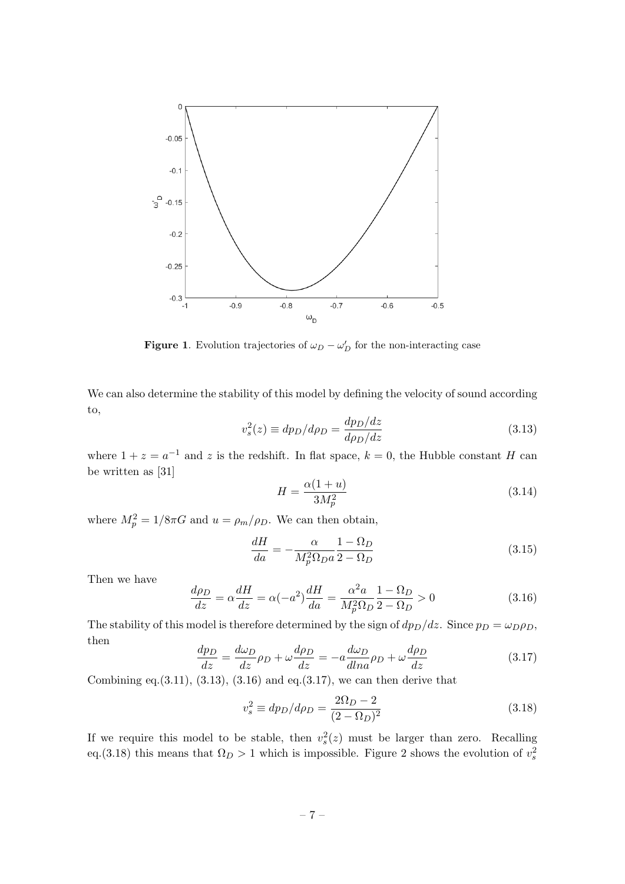

**Figure 1.** Evolution trajectories of  $\omega_D - \omega'_D$  for the non-interacting case

We can also determine the stability of this model by defining the velocity of sound according to,

$$
v_s^2(z) \equiv dp_D/d\rho_D = \frac{dp_D/dz}{d\rho_D/dz} \tag{3.13}
$$

where  $1 + z = a^{-1}$  and z is the redshift. In flat space,  $k = 0$ , the Hubble constant H can be written as [31]

$$
H = \frac{\alpha(1+u)}{3M_p^2} \tag{3.14}
$$

where  $M_p^2 = 1/8\pi G$  and  $u = \rho_m/\rho_D$ . We can then obtain,

$$
\frac{dH}{da} = -\frac{\alpha}{M_p^2 \Omega_D a} \frac{1 - \Omega_D}{2 - \Omega_D} \tag{3.15}
$$

Then we have

$$
\frac{d\rho_D}{dz} = \alpha \frac{dH}{dz} = \alpha(-a^2)\frac{dH}{da} = \frac{\alpha^2 a}{M_p^2 \Omega_D} \frac{1 - \Omega_D}{2 - \Omega_D} > 0
$$
\n(3.16)

The stability of this model is therefore determined by the sign of  $dp_D/dz$ . Since  $p_D = \omega_D \rho_D$ , then

$$
\frac{dp_D}{dz} = \frac{d\omega_D}{dz}\rho_D + \omega\frac{d\rho_D}{dz} = -a\frac{d\omega_D}{dlna}\rho_D + \omega\frac{d\rho_D}{dz}
$$
(3.17)

Combining eq.  $(3.11)$ ,  $(3.13)$ ,  $(3.16)$  and eq.  $(3.17)$ , we can then derive that

$$
v_s^2 \equiv dp_D/d\rho_D = \frac{2\Omega_D - 2}{(2 - \Omega_D)^2}
$$
\n(3.18)

If we require this model to be stable, then  $v_s^2(z)$  must be larger than zero. Recalling eq.(3.18) this means that  $\Omega_D > 1$  which is impossible. Figure 2 shows the evolution of  $v_s^2$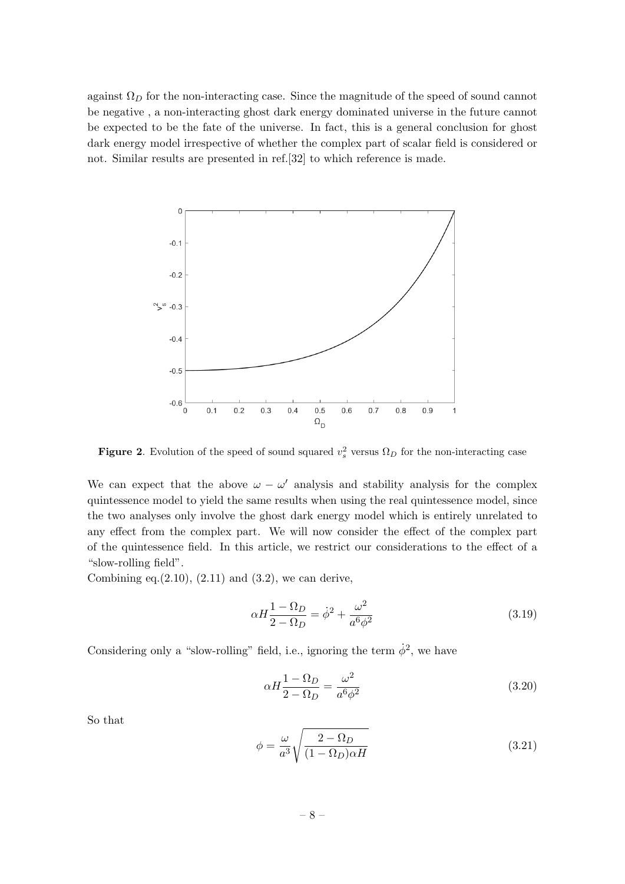against  $\Omega_D$  for the non-interacting case. Since the magnitude of the speed of sound cannot be negative , a non-interacting ghost dark energy dominated universe in the future cannot be expected to be the fate of the universe. In fact, this is a general conclusion for ghost dark energy model irrespective of whether the complex part of scalar field is considered or not. Similar results are presented in ref.[32] to which reference is made.



**Figure 2.** Evolution of the speed of sound squared  $v_s^2$  versus  $\Omega_D$  for the non-interacting case

We can expect that the above  $\omega - \omega'$  analysis and stability analysis for the complex quintessence model to yield the same results when using the real quintessence model, since the two analyses only involve the ghost dark energy model which is entirely unrelated to any effect from the complex part. We will now consider the effect of the complex part of the quintessence field. In this article, we restrict our considerations to the effect of a "slow-rolling field".

Combining eq. $(2.10)$ ,  $(2.11)$  and  $(3.2)$ , we can derive,

$$
\alpha H \frac{1 - \Omega_D}{2 - \Omega_D} = \dot{\phi}^2 + \frac{\omega^2}{a^6 \phi^2} \tag{3.19}
$$

Considering only a "slow-rolling" field, i.e., ignoring the term  $\dot{\phi}^2$ , we have

$$
\alpha H \frac{1 - \Omega_D}{2 - \Omega_D} = \frac{\omega^2}{a^6 \phi^2} \tag{3.20}
$$

So that

$$
\phi = \frac{\omega}{a^3} \sqrt{\frac{2 - \Omega_D}{(1 - \Omega_D)\alpha H}}
$$
\n(3.21)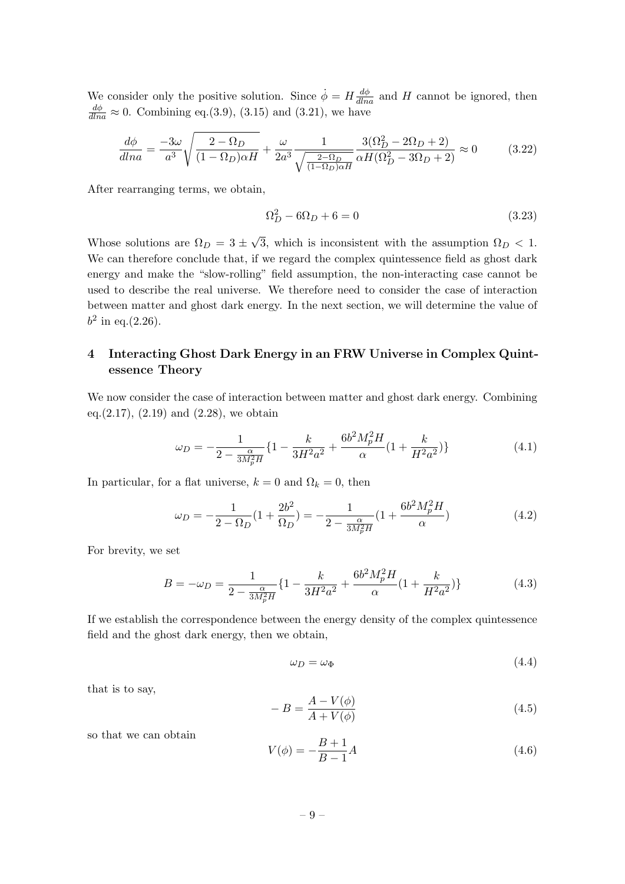We consider only the positive solution. Since  $\dot{\phi} = H \frac{d\phi}{dlna}$  and H cannot be ignored, then  $\frac{d\phi}{dlna} \approx 0$ . Combining eq.(3.9), (3.15) and (3.21), we have

$$
\frac{d\phi}{dlna} = \frac{-3\omega}{a^3} \sqrt{\frac{2-\Omega_D}{(1-\Omega_D)\alpha H}} + \frac{\omega}{2a^3} \frac{1}{\sqrt{\frac{2-\Omega_D}{(1-\Omega_D)\alpha H}}} \frac{3(\Omega_D^2 - 2\Omega_D + 2)}{\alpha H(\Omega_D^2 - 3\Omega_D + 2)} \approx 0
$$
\n(3.22)

After rearranging terms, we obtain,

$$
\Omega_D^2 - 6\Omega_D + 6 = 0\tag{3.23}
$$

Whose solutions are  $\Omega_D = 3 \pm \Omega$ √ 3, which is inconsistent with the assumption  $\Omega_D < 1$ . We can therefore conclude that, if we regard the complex quintessence field as ghost dark energy and make the "slow-rolling" field assumption, the non-interacting case cannot be used to describe the real universe. We therefore need to consider the case of interaction between matter and ghost dark energy. In the next section, we will determine the value of  $b^2$  in eq.(2.26).

# <span id="page-9-0"></span>4 Interacting Ghost Dark Energy in an FRW Universe in Complex Quintessence Theory

We now consider the case of interaction between matter and ghost dark energy. Combining eq.(2.17), (2.19) and (2.28), we obtain

$$
\omega_D = -\frac{1}{2 - \frac{\alpha}{3M_p^2 H}} \left\{ 1 - \frac{k}{3H^2 a^2} + \frac{6b^2 M_p^2 H}{\alpha} \left( 1 + \frac{k}{H^2 a^2} \right) \right\}
$$
(4.1)

In particular, for a flat universe,  $k = 0$  and  $\Omega_k = 0$ , then

$$
\omega_D = -\frac{1}{2 - \Omega_D} (1 + \frac{2b^2}{\Omega_D}) = -\frac{1}{2 - \frac{\alpha}{3M_p^2 H}} (1 + \frac{6b^2 M_p^2 H}{\alpha})
$$
(4.2)

For brevity, we set

$$
B = -\omega_D = \frac{1}{2 - \frac{\alpha}{3M_p^2 H}} \{ 1 - \frac{k}{3H^2 a^2} + \frac{6b^2 M_p^2 H}{\alpha} (1 + \frac{k}{H^2 a^2}) \}
$$
(4.3)

If we establish the correspondence between the energy density of the complex quintessence field and the ghost dark energy, then we obtain,

$$
\omega_D = \omega_{\Phi} \tag{4.4}
$$

that is to say,

$$
-B = \frac{A - V(\phi)}{A + V(\phi)}
$$
\n
$$
(4.5)
$$

so that we can obtain

$$
V(\phi) = -\frac{B+1}{B-1}A
$$
\n(4.6)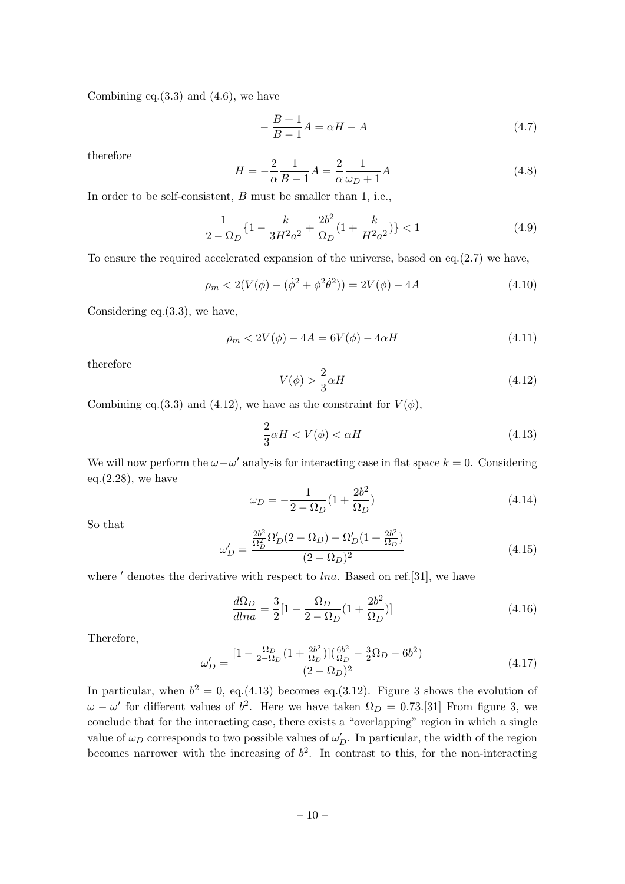Combining eq. $(3.3)$  and  $(4.6)$ , we have

$$
-\frac{B+1}{B-1}A = \alpha H - A\tag{4.7}
$$

therefore

$$
H = -\frac{2}{\alpha} \frac{1}{B - 1} A = \frac{2}{\alpha} \frac{1}{\omega_D + 1} A
$$
 (4.8)

In order to be self-consistent, B must be smaller than 1, i.e.,

$$
\frac{1}{2 - \Omega_D} \{ 1 - \frac{k}{3H^2 a^2} + \frac{2b^2}{\Omega_D} (1 + \frac{k}{H^2 a^2}) \} < 1 \tag{4.9}
$$

To ensure the required accelerated expansion of the universe, based on eq.(2.7) we have,

$$
\rho_m < 2(V(\phi) - (\dot{\phi}^2 + \phi^2 \dot{\theta}^2)) = 2V(\phi) - 4A \tag{4.10}
$$

Considering eq.(3.3), we have,

$$
\rho_m < 2V(\phi) - 4A = 6V(\phi) - 4\alpha H \tag{4.11}
$$

therefore

$$
V(\phi) > \frac{2}{3}\alpha H\tag{4.12}
$$

Combining eq.(3.3) and (4.12), we have as the constraint for  $V(\phi)$ ,

$$
\frac{2}{3}\alpha H < V(\phi) < \alpha H\tag{4.13}
$$

We will now perform the  $\omega - \omega'$  analysis for interacting case in flat space  $k = 0$ . Considering eq. $(2.28)$ , we have

$$
\omega_D = -\frac{1}{2 - \Omega_D} (1 + \frac{2b^2}{\Omega_D})
$$
\n(4.14)

So that

$$
\omega'_{D} = \frac{\frac{2b^2}{\Omega_D^2} \Omega'_D (2 - \Omega_D) - \Omega'_D (1 + \frac{2b^2}{\Omega_D})}{(2 - \Omega_D)^2} \tag{4.15}
$$

where  $\prime$  denotes the derivative with respect to lna. Based on ref.[31], we have

$$
\frac{d\Omega_D}{dlna} = \frac{3}{2} \left[ 1 - \frac{\Omega_D}{2 - \Omega_D} \left( 1 + \frac{2b^2}{\Omega_D} \right) \right]
$$
\n(4.16)

Therefore,

$$
\omega'_{D} = \frac{\left[1 - \frac{\Omega_D}{2 - \Omega_D} \left(1 + \frac{2b^2}{\Omega_D}\right)\right] \left(\frac{6b^2}{\Omega_D} - \frac{3}{2}\Omega_D - 6b^2\right)}{(2 - \Omega_D)^2} \tag{4.17}
$$

In particular, when  $b^2 = 0$ , eq.(4.13) becomes eq.(3.12). Figure 3 shows the evolution of  $\omega - \omega'$  for different values of  $b^2$ . Here we have taken  $\Omega_D = 0.73$ .[31] From figure 3, we conclude that for the interacting case, there exists a "overlapping" region in which a single value of  $\omega_D$  corresponds to two possible values of  $\omega'_D$ . In particular, the width of the region becomes narrower with the increasing of  $b^2$ . In contrast to this, for the non-interacting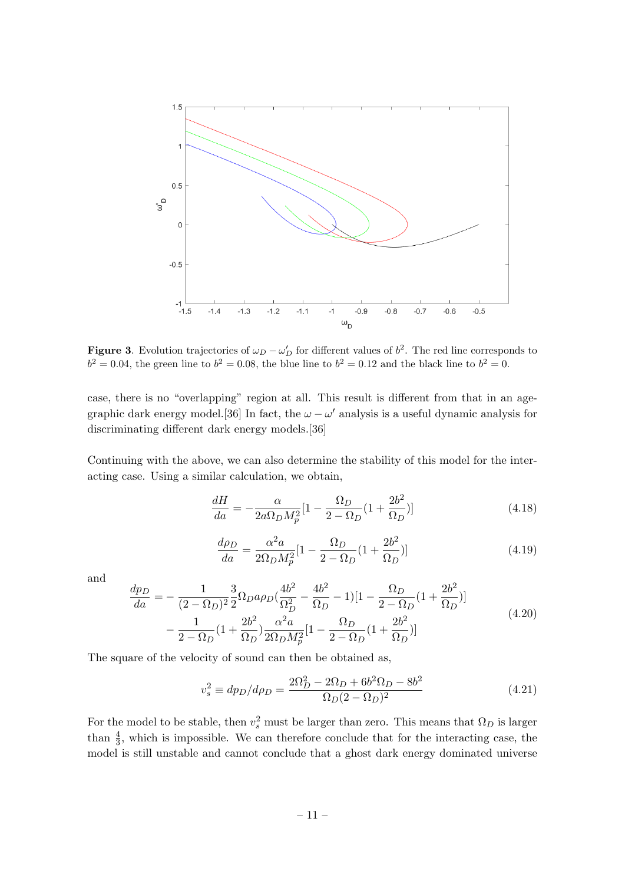

**Figure 3**. Evolution trajectories of  $\omega_D - \omega'_D$  for different values of  $b^2$ . The red line corresponds to  $b^2 = 0.04$ , the green line to  $b^2 = 0.08$ , the blue line to  $b^2 = 0.12$  and the black line to  $b^2 = 0$ .

case, there is no "overlapping" region at all. This result is different from that in an agegraphic dark energy model.[36] In fact, the  $\omega - \omega'$  analysis is a useful dynamic analysis for discriminating different dark energy models.[36]

Continuing with the above, we can also determine the stability of this model for the interacting case. Using a similar calculation, we obtain,

$$
\frac{dH}{da} = -\frac{\alpha}{2a\Omega_D M_p^2} [1 - \frac{\Omega_D}{2 - \Omega_D} (1 + \frac{2b^2}{\Omega_D})] \tag{4.18}
$$

$$
\frac{d\rho_D}{da} = \frac{\alpha^2 a}{2\Omega_D M_p^2} [1 - \frac{\Omega_D}{2 - \Omega_D} (1 + \frac{2b^2}{\Omega_D})] \tag{4.19}
$$

and

$$
\frac{dp_D}{da} = -\frac{1}{(2 - \Omega_D)^2} \frac{3}{2} \Omega_D a \rho_D (\frac{4b^2}{\Omega_D^2} - \frac{4b^2}{\Omega_D} - 1)[1 - \frac{\Omega_D}{2 - \Omega_D} (1 + \frac{2b^2}{\Omega_D})]
$$

$$
-\frac{1}{2 - \Omega_D} (1 + \frac{2b^2}{\Omega_D}) \frac{\alpha^2 a}{2\Omega_D M_p^2} [1 - \frac{\Omega_D}{2 - \Omega_D} (1 + \frac{2b^2}{\Omega_D})]
$$
(4.20)

The square of the velocity of sound can then be obtained as,

$$
v_s^2 \equiv dp_D/d\rho_D = \frac{2\Omega_D^2 - 2\Omega_D + 6b^2\Omega_D - 8b^2}{\Omega_D(2 - \Omega_D)^2}
$$
(4.21)

For the model to be stable, then  $v_s^2$  must be larger than zero. This means that  $\Omega_D$  is larger than  $\frac{4}{3}$ , which is impossible. We can therefore conclude that for the interacting case, the model is still unstable and cannot conclude that a ghost dark energy dominated universe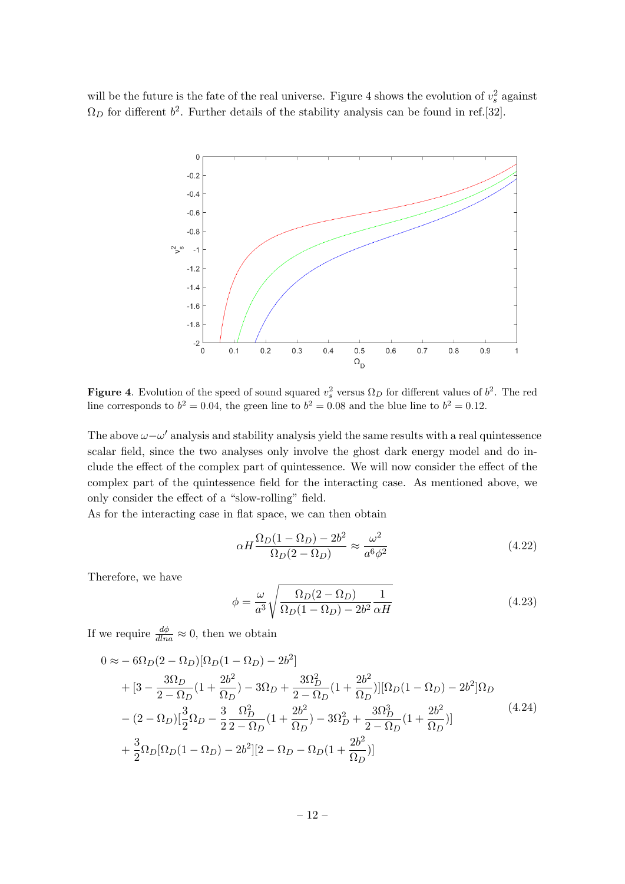will be the future is the fate of the real universe. Figure 4 shows the evolution of  $v_s^2$  against  $\Omega_D$  for different  $b^2$ . Further details of the stability analysis can be found in ref.[32].



**Figure 4.** Evolution of the speed of sound squared  $v_s^2$  versus  $\Omega_D$  for different values of  $b^2$ . The red line corresponds to  $b^2 = 0.04$ , the green line to  $b^2 = 0.08$  and the blue line to  $b^2 = 0.12$ .

The above  $\omega - \omega'$  analysis and stability analysis yield the same results with a real quintessence scalar field, since the two analyses only involve the ghost dark energy model and do include the effect of the complex part of quintessence. We will now consider the effect of the complex part of the quintessence field for the interacting case. As mentioned above, we only consider the effect of a "slow-rolling" field.

As for the interacting case in flat space, we can then obtain

$$
\alpha H \frac{\Omega_D (1 - \Omega_D) - 2b^2}{\Omega_D (2 - \Omega_D)} \approx \frac{\omega^2}{a^6 \phi^2}
$$
\n(4.22)

Therefore, we have

$$
\phi = \frac{\omega}{a^3} \sqrt{\frac{\Omega_D (2 - \Omega_D)}{\Omega_D (1 - \Omega_D) - 2b^2} \frac{1}{\alpha H}}
$$
\n(4.23)

If we require  $\frac{d\phi}{dln a} \approx 0$ , then we obtain

$$
0 \approx -6\Omega_D(2 - \Omega_D)[\Omega_D(1 - \Omega_D) - 2b^2]
$$
  
+ 
$$
[3 - \frac{3\Omega_D}{2 - \Omega_D}(1 + \frac{2b^2}{\Omega_D}) - 3\Omega_D + \frac{3\Omega_D^2}{2 - \Omega_D}(1 + \frac{2b^2}{\Omega_D})][\Omega_D(1 - \Omega_D) - 2b^2]\Omega_D
$$
  
- 
$$
(2 - \Omega_D)[\frac{3}{2}\Omega_D - \frac{3}{2}\frac{\Omega_D^2}{2 - \Omega_D}(1 + \frac{2b^2}{\Omega_D}) - 3\Omega_D^2 + \frac{3\Omega_D^3}{2 - \Omega_D}(1 + \frac{2b^2}{\Omega_D})]
$$
  
+ 
$$
\frac{3}{2}\Omega_D[\Omega_D(1 - \Omega_D) - 2b^2][2 - \Omega_D - \Omega_D(1 + \frac{2b^2}{\Omega_D})]
$$
(4.24)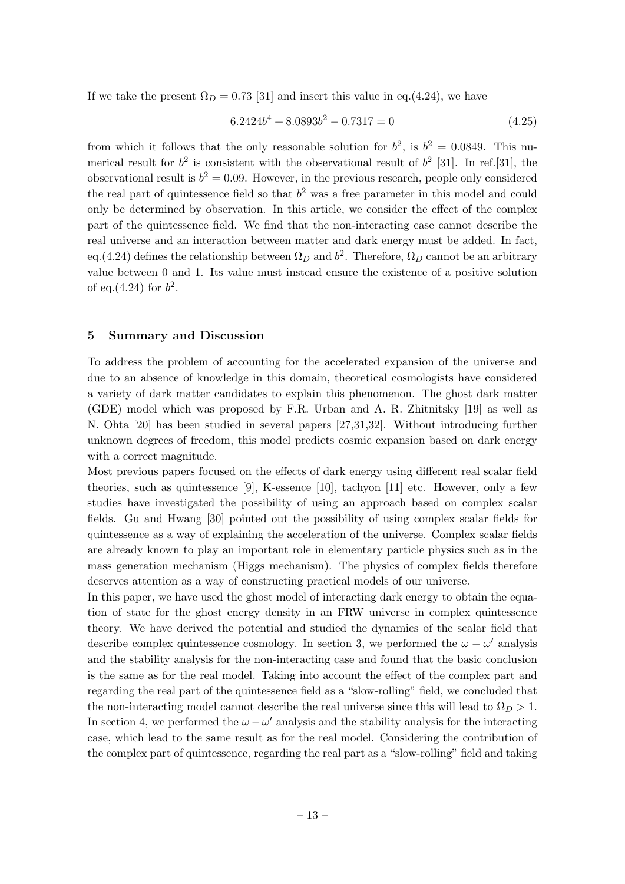If we take the present  $\Omega_D = 0.73$  [31] and insert this value in eq.(4.24), we have

$$
6.2424b4 + 8.0893b2 - 0.7317 = 0
$$
\n(4.25)

from which it follows that the only reasonable solution for  $b^2$ , is  $b^2 = 0.0849$ . This numerical result for  $b^2$  is consistent with the observational result of  $b^2$  [31]. In ref. [31], the observational result is  $b^2 = 0.09$ . However, in the previous research, people only considered the real part of quintessence field so that  $b<sup>2</sup>$  was a free parameter in this model and could only be determined by observation. In this article, we consider the effect of the complex part of the quintessence field. We find that the non-interacting case cannot describe the real universe and an interaction between matter and dark energy must be added. In fact, eq.(4.24) defines the relationship between  $\Omega_D$  and  $b^2$ . Therefore,  $\Omega_D$  cannot be an arbitrary value between 0 and 1. Its value must instead ensure the existence of a positive solution of eq.(4.24) for  $b^2$ .

#### <span id="page-13-0"></span>5 Summary and Discussion

To address the problem of accounting for the accelerated expansion of the universe and due to an absence of knowledge in this domain, theoretical cosmologists have considered a variety of dark matter candidates to explain this phenomenon. The ghost dark matter (GDE) model which was proposed by F.R. Urban and A. R. Zhitnitsky [19] as well as N. Ohta [20] has been studied in several papers [27,31,32]. Without introducing further unknown degrees of freedom, this model predicts cosmic expansion based on dark energy with a correct magnitude.

Most previous papers focused on the effects of dark energy using different real scalar field theories, such as quintessence [9], K-essence [10], tachyon [11] etc. However, only a few studies have investigated the possibility of using an approach based on complex scalar fields. Gu and Hwang [30] pointed out the possibility of using complex scalar fields for quintessence as a way of explaining the acceleration of the universe. Complex scalar fields are already known to play an important role in elementary particle physics such as in the mass generation mechanism (Higgs mechanism). The physics of complex fields therefore deserves attention as a way of constructing practical models of our universe.

In this paper, we have used the ghost model of interacting dark energy to obtain the equation of state for the ghost energy density in an FRW universe in complex quintessence theory. We have derived the potential and studied the dynamics of the scalar field that describe complex quintessence cosmology. In section 3, we performed the  $\omega - \omega'$  analysis and the stability analysis for the non-interacting case and found that the basic conclusion is the same as for the real model. Taking into account the effect of the complex part and regarding the real part of the quintessence field as a "slow-rolling" field, we concluded that the non-interacting model cannot describe the real universe since this will lead to  $\Omega_D > 1$ . In section 4, we performed the  $\omega - \omega'$  analysis and the stability analysis for the interacting case, which lead to the same result as for the real model. Considering the contribution of the complex part of quintessence, regarding the real part as a "slow-rolling" field and taking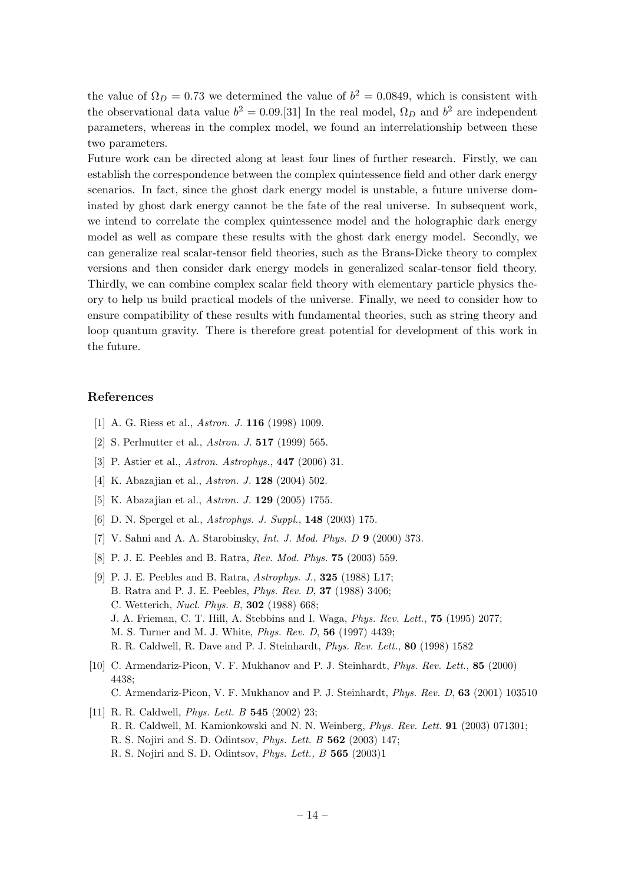the value of  $\Omega_D = 0.73$  we determined the value of  $b^2 = 0.0849$ , which is consistent with the observational data value  $b^2 = 0.09$ .[31] In the real model,  $\Omega_D$  and  $b^2$  are independent parameters, whereas in the complex model, we found an interrelationship between these two parameters.

Future work can be directed along at least four lines of further research. Firstly, we can establish the correspondence between the complex quintessence field and other dark energy scenarios. In fact, since the ghost dark energy model is unstable, a future universe dominated by ghost dark energy cannot be the fate of the real universe. In subsequent work, we intend to correlate the complex quintessence model and the holographic dark energy model as well as compare these results with the ghost dark energy model. Secondly, we can generalize real scalar-tensor field theories, such as the Brans-Dicke theory to complex versions and then consider dark energy models in generalized scalar-tensor field theory. Thirdly, we can combine complex scalar field theory with elementary particle physics theory to help us build practical models of the universe. Finally, we need to consider how to ensure compatibility of these results with fundamental theories, such as string theory and loop quantum gravity. There is therefore great potential for development of this work in the future.

#### References

- [1] A. G. Riess et al., *Astron. J.* **116** (1998) 1009.
- [2] S. Perlmutter et al., Astron. J. 517 (1999) 565.
- [3] P. Astier et al., Astron. Astrophys., 447 (2006) 31.
- [4] K. Abazajian et al., Astron. J. 128 (2004) 502.
- [5] K. Abazajian et al., Astron. J. 129 (2005) 1755.
- [6] D. N. Spergel et al., Astrophys. J. Suppl., 148 (2003) 175.
- [7] V. Sahni and A. A. Starobinsky, Int. J. Mod. Phys. D 9 (2000) 373.
- [8] P. J. E. Peebles and B. Ratra, Rev. Mod. Phys. 75 (2003) 559.
- [9] P. J. E. Peebles and B. Ratra, Astrophys. J., 325 (1988) L17; B. Ratra and P. J. E. Peebles, Phys. Rev. D, 37 (1988) 3406; C. Wetterich, Nucl. Phys. B, 302 (1988) 668; J. A. Frieman, C. T. Hill, A. Stebbins and I. Waga, Phys. Rev. Lett., 75 (1995) 2077; M. S. Turner and M. J. White, Phys. Rev. D, 56 (1997) 4439; R. R. Caldwell, R. Dave and P. J. Steinhardt, Phys. Rev. Lett., 80 (1998) 1582
- [10] C. Armendariz-Picon, V. F. Mukhanov and P. J. Steinhardt, Phys. Rev. Lett., 85 (2000) 4438; C. Armendariz-Picon, V. F. Mukhanov and P. J. Steinhardt, Phys. Rev. D, 63 (2001) 103510
- [11] R. R. Caldwell, *Phys. Lett. B* **545** (2002) 23; R. R. Caldwell, M. Kamionkowski and N. N. Weinberg, Phys. Rev. Lett. 91 (2003) 071301; R. S. Nojiri and S. D. Odintsov, Phys. Lett. B 562 (2003) 147; R. S. Nojiri and S. D. Odintsov, Phys. Lett., B 565 (2003)1